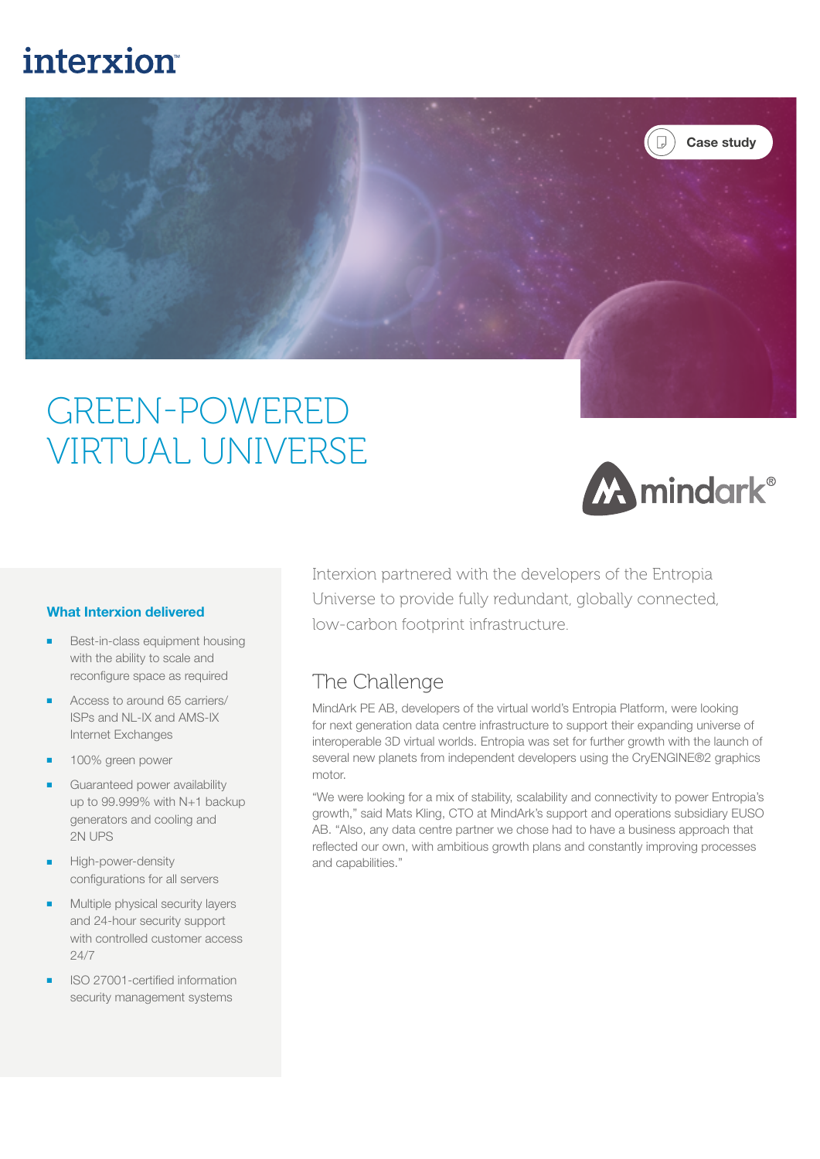## interxion



# GREEN-POWERED VIRTUAL UNIVERSE



#### What Interxion delivered

- Best-in-class equipment housing with the ability to scale and reconfigure space as required
- Access to around 65 carriers/ ISPs and NL-IX and AMS-IX Internet Exchanges
- 100% green power
- Guaranteed power availability up to 99.999% with N+1 backup generators and cooling and 2N UPS
- High-power-density configurations for all servers
- Multiple physical security layers and 24-hour security support with controlled customer access 24/7
- ISO 27001-certified information security management systems

Interxion partnered with the developers of the Entropia Universe to provide fully redundant, globally connected, low-carbon footprint infrastructure.

### The Challenge

MindArk PE AB, developers of the virtual world's Entropia Platform, were looking for next generation data centre infrastructure to support their expanding universe of interoperable 3D virtual worlds. Entropia was set for further growth with the launch of several new planets from independent developers using the CryENGINE®2 graphics motor.

"We were looking for a mix of stability, scalability and connectivity to power Entropia's growth," said Mats Kling, CTO at MindArk's support and operations subsidiary EUSO AB. "Also, any data centre partner we chose had to have a business approach that reflected our own, with ambitious growth plans and constantly improving processes and capabilities."